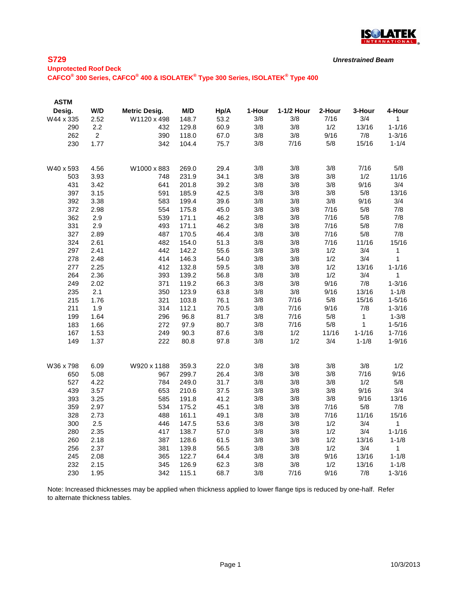

*Unrestrained Beam*

**Unprotected Roof Deck CAFCO® 300 Series, CAFCO® 400 & ISOLATEK® Type 300 Series, ISOLATEK® Type 400**

| <b>ASTM</b> |                |                      |       |      |        |            |        |            |              |
|-------------|----------------|----------------------|-------|------|--------|------------|--------|------------|--------------|
| Desig.      | W/D            | <b>Metric Desig.</b> | M/D   | Hp/A | 1-Hour | 1-1/2 Hour | 2-Hour | 3-Hour     | 4-Hour       |
| W44 x 335   | 2.52           | W1120 x 498          | 148.7 | 53.2 | 3/8    | 3/8        | 7/16   | 3/4        | 1            |
| 290         | 2.2            | 432                  | 129.8 | 60.9 | 3/8    | 3/8        | 1/2    | 13/16      | $1 - 1/16$   |
| 262         | $\overline{2}$ | 390                  | 118.0 | 67.0 | 3/8    | 3/8        | 9/16   | 7/8        | $1 - 3/16$   |
| 230         | 1.77           | 342                  | 104.4 | 75.7 | 3/8    | 7/16       | 5/8    | 15/16      | $1 - 1/4$    |
|             |                |                      |       |      |        |            |        |            |              |
| W40 x 593   | 4.56           | W1000 x 883          | 269.0 | 29.4 | 3/8    | 3/8        | 3/8    | 7/16       | 5/8          |
| 503         | 3.93           | 748                  | 231.9 | 34.1 | 3/8    | 3/8        | 3/8    | 1/2        | 11/16        |
| 431         | 3.42           | 641                  | 201.8 | 39.2 | 3/8    | 3/8        | 3/8    | 9/16       | 3/4          |
| 397         | 3.15           | 591                  | 185.9 | 42.5 | 3/8    | 3/8        | 3/8    | 5/8        | 13/16        |
| 392         | 3.38           | 583                  | 199.4 | 39.6 | 3/8    | 3/8        | 3/8    | 9/16       | 3/4          |
| 372         | 2.98           | 554                  | 175.8 | 45.0 | 3/8    | 3/8        | 7/16   | 5/8        | 7/8          |
| 362         | 2.9            | 539                  | 171.1 | 46.2 | 3/8    | 3/8        | 7/16   | 5/8        | 7/8          |
| 331         | 2.9            | 493                  | 171.1 | 46.2 | 3/8    | 3/8        | 7/16   | 5/8        | 7/8          |
| 327         | 2.89           | 487                  | 170.5 | 46.4 | 3/8    | 3/8        | 7/16   | 5/8        | 7/8          |
| 324         | 2.61           | 482                  | 154.0 | 51.3 | 3/8    | 3/8        | 7/16   | 11/16      | 15/16        |
| 297         | 2.41           | 442                  | 142.2 | 55.6 | 3/8    | 3/8        | 1/2    | 3/4        | 1            |
| 278         | 2.48           | 414                  | 146.3 | 54.0 | 3/8    | 3/8        | 1/2    | 3/4        | 1            |
| 277         | 2.25           | 412                  | 132.8 | 59.5 | 3/8    | 3/8        | 1/2    | 13/16      | $1 - 1/16$   |
| 264         | 2.36           | 393                  | 139.2 | 56.8 | 3/8    | 3/8        | 1/2    | 3/4        | 1            |
| 249         | 2.02           | 371                  | 119.2 | 66.3 | 3/8    | 3/8        | 9/16   | 7/8        | $1 - 3/16$   |
| 235         | 2.1            | 350                  | 123.9 | 63.8 | 3/8    | 3/8        | 9/16   | 13/16      | $1 - 1/8$    |
| 215         | 1.76           | 321                  | 103.8 | 76.1 | 3/8    | 7/16       | 5/8    | 15/16      | $1 - 5/16$   |
| 211         | 1.9            | 314                  | 112.1 | 70.5 | 3/8    | 7/16       | 9/16   | 7/8        | $1 - 3/16$   |
| 199         | 1.64           | 296                  | 96.8  | 81.7 | 3/8    | 7/16       | 5/8    | 1          | $1 - 3/8$    |
| 183         | 1.66           | 272                  | 97.9  | 80.7 | 3/8    | 7/16       | 5/8    | 1          | $1 - 5/16$   |
| 167         | 1.53           | 249                  | 90.3  | 87.6 | 3/8    | 1/2        | 11/16  | $1 - 1/16$ | $1 - 7/16$   |
| 149         | 1.37           | 222                  | 80.8  | 97.8 | 3/8    | 1/2        | 3/4    | $1 - 1/8$  | $1 - 9/16$   |
|             |                |                      |       |      |        |            |        |            |              |
| W36 x 798   | 6.09           | W920 x 1188          | 359.3 | 22.0 | 3/8    | 3/8        | 3/8    | 3/8        | 1/2          |
| 650         | 5.08           | 967                  | 299.7 | 26.4 | 3/8    | 3/8        | 3/8    | 7/16       | 9/16         |
| 527         | 4.22           | 784                  | 249.0 | 31.7 | 3/8    | 3/8        | 3/8    | 1/2        | 5/8          |
| 439         | 3.57           | 653                  | 210.6 | 37.5 | 3/8    | 3/8        | 3/8    | 9/16       | 3/4          |
| 393         | 3.25           | 585                  | 191.8 | 41.2 | 3/8    | 3/8        | 3/8    | 9/16       | 13/16        |
| 359         | 2.97           | 534                  | 175.2 | 45.1 | 3/8    | 3/8        | 7/16   | 5/8        | 7/8          |
| 328         | 2.73           | 488                  | 161.1 | 49.1 | 3/8    | 3/8        | 7/16   | 11/16      | 15/16        |
| 300         | 2.5            | 446                  | 147.5 | 53.6 | 3/8    | 3/8        | 1/2    | 3/4        | $\mathbf{1}$ |
| 280         | 2.35           | 417                  | 138.7 | 57.0 | 3/8    | 3/8        | 1/2    | 3/4        | $1 - 1/16$   |
| 260         | 2.18           | 387                  | 128.6 | 61.5 | 3/8    | 3/8        | 1/2    | 13/16      | $1 - 1/8$    |
| 256         | 2.37           | 381                  | 139.8 | 56.5 | 3/8    | 3/8        | 1/2    | 3/4        | $\mathbf{1}$ |
| 245         | 2.08           | 365                  | 122.7 | 64.4 | 3/8    | 3/8        | 9/16   | 13/16      | $1 - 1/8$    |
| 232         | 2.15           | 345                  | 126.9 | 62.3 | 3/8    | 3/8        | 1/2    | 13/16      | $1 - 1/8$    |
| 230         | 1.95           | 342                  | 115.1 | 68.7 | 3/8    | 7/16       | 9/16   | 7/8        | $1 - 3/16$   |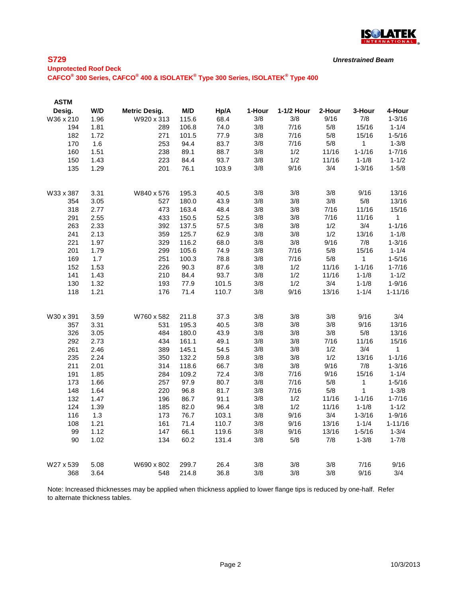

*Unrestrained Beam*

**Unprotected Roof Deck**

**CAFCO® 300 Series, CAFCO® 400 & ISOLATEK® Type 300 Series, ISOLATEK® Type 400**

| <b>ASTM</b> |      |                      |       |       |        |            |        |            |              |
|-------------|------|----------------------|-------|-------|--------|------------|--------|------------|--------------|
| Desig.      | W/D  | <b>Metric Desig.</b> | M/D   | Hp/A  | 1-Hour | 1-1/2 Hour | 2-Hour | 3-Hour     | 4-Hour       |
| W36 x 210   | 1.96 | W920 x 313           | 115.6 | 68.4  | 3/8    | 3/8        | 9/16   | 7/8        | $1 - 3/16$   |
| 194         | 1.81 | 289                  | 106.8 | 74.0  | 3/8    | 7/16       | 5/8    | 15/16      | $1 - 1/4$    |
| 182         | 1.72 | 271                  | 101.5 | 77.9  | 3/8    | 7/16       | 5/8    | 15/16      | $1 - 5/16$   |
| 170         | 1.6  | 253                  | 94.4  | 83.7  | 3/8    | 7/16       | 5/8    | 1          | $1 - 3/8$    |
| 160         | 1.51 | 238                  | 89.1  | 88.7  | 3/8    | 1/2        | 11/16  | $1 - 1/16$ | $1 - 7/16$   |
| 150         | 1.43 | 223                  | 84.4  | 93.7  | 3/8    | 1/2        | 11/16  | $1 - 1/8$  | $1 - 1/2$    |
| 135         | 1.29 | 201                  | 76.1  | 103.9 | 3/8    | 9/16       | 3/4    | $1 - 3/16$ | $1 - 5/8$    |
| W33 x 387   | 3.31 | W840 x 576           | 195.3 | 40.5  | 3/8    | 3/8        | 3/8    | 9/16       | 13/16        |
| 354         | 3.05 | 527                  | 180.0 | 43.9  | 3/8    | 3/8        | 3/8    | 5/8        | 13/16        |
| 318         | 2.77 | 473                  | 163.4 | 48.4  | 3/8    | 3/8        | 7/16   | 11/16      | 15/16        |
| 291         | 2.55 | 433                  | 150.5 | 52.5  | 3/8    | 3/8        | 7/16   | 11/16      | $\mathbf{1}$ |
| 263         | 2.33 | 392                  | 137.5 | 57.5  | 3/8    | 3/8        | 1/2    | 3/4        | $1 - 1/16$   |
| 241         | 2.13 | 359                  | 125.7 | 62.9  | 3/8    | 3/8        | 1/2    | 13/16      | $1 - 1/8$    |
| 221         | 1.97 | 329                  | 116.2 | 68.0  | 3/8    | 3/8        | 9/16   | 7/8        | $1 - 3/16$   |
| 201         | 1.79 | 299                  | 105.6 | 74.9  | 3/8    | 7/16       | 5/8    | 15/16      | $1 - 1/4$    |
| 169         | 1.7  | 251                  | 100.3 | 78.8  | 3/8    | 7/16       | 5/8    | 1          | $1 - 5/16$   |
| 152         | 1.53 | 226                  | 90.3  | 87.6  | 3/8    | 1/2        | 11/16  | $1 - 1/16$ | $1 - 7/16$   |
| 141         | 1.43 | 210                  | 84.4  | 93.7  | 3/8    | 1/2        | 11/16  | $1 - 1/8$  | $1 - 1/2$    |
| 130         | 1.32 | 193                  | 77.9  | 101.5 | 3/8    | 1/2        | 3/4    | $1 - 1/8$  | $1 - 9/16$   |
| 118         | 1.21 | 176                  | 71.4  | 110.7 | 3/8    | 9/16       | 13/16  | $1 - 1/4$  | $1 - 11/16$  |
| W30 x 391   | 3.59 | W760 x 582           | 211.8 | 37.3  | 3/8    | 3/8        | 3/8    | 9/16       | 3/4          |
| 357         | 3.31 | 531                  | 195.3 | 40.5  | 3/8    | 3/8        | 3/8    | 9/16       | 13/16        |
| 326         | 3.05 | 484                  | 180.0 | 43.9  | 3/8    | 3/8        | 3/8    | 5/8        | 13/16        |
| 292         | 2.73 | 434                  | 161.1 | 49.1  | 3/8    | 3/8        | 7/16   | 11/16      | 15/16        |
| 261         | 2.46 | 389                  | 145.1 | 54.5  | 3/8    | 3/8        | 1/2    | 3/4        | 1            |
| 235         | 2.24 | 350                  | 132.2 | 59.8  | 3/8    | 3/8        | 1/2    | 13/16      | $1 - 1/16$   |
| 211         | 2.01 | 314                  | 118.6 | 66.7  | 3/8    | 3/8        | 9/16   | 7/8        | $1 - 3/16$   |
| 191         | 1.85 | 284                  | 109.2 | 72.4  | 3/8    | 7/16       | 9/16   | 15/16      | $1 - 1/4$    |
| 173         | 1.66 | 257                  | 97.9  | 80.7  | 3/8    | 7/16       | 5/8    | 1          | $1 - 5/16$   |
| 148         | 1.64 | 220                  | 96.8  | 81.7  | 3/8    | 7/16       | 5/8    | 1          | $1 - 3/8$    |
| 132         | 1.47 | 196                  | 86.7  | 91.1  | 3/8    | 1/2        | 11/16  | $1 - 1/16$ | $1 - 7/16$   |
| 124         | 1.39 | 185                  | 82.0  | 96.4  | 3/8    | 1/2        | 11/16  | $1 - 1/8$  | $1 - 1/2$    |
| 116         | 1.3  | 173                  | 76.7  | 103.1 | 3/8    | 9/16       | 3/4    | $1 - 3/16$ | $1 - 9/16$   |
| 108         | 1.21 | 161                  | 71.4  | 110.7 | 3/8    | 9/16       | 13/16  | $1 - 1/4$  | $1 - 11/16$  |
| 99          | 1.12 | 147                  | 66.1  | 119.6 | 3/8    | 9/16       | 13/16  | $1 - 5/16$ | $1 - 3/4$    |
| 90          | 1.02 | 134                  | 60.2  | 131.4 | 3/8    | 5/8        | 7/8    | $1 - 3/8$  | $1 - 7/8$    |
| W27 x 539   | 5.08 | W690 x 802           | 299.7 | 26.4  | 3/8    | 3/8        | 3/8    | 7/16       | 9/16         |
| 368         | 3.64 | 548                  | 214.8 | 36.8  | 3/8    | 3/8        | 3/8    | 9/16       | 3/4          |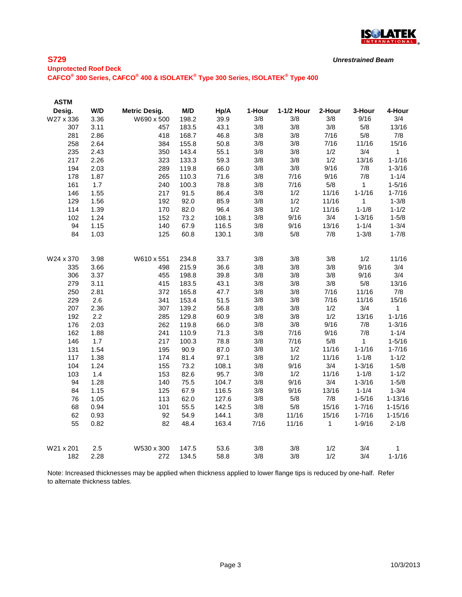

*Unrestrained Beam*

**Unprotected Roof Deck CAFCO® 300 Series, CAFCO® 400 & ISOLATEK® Type 300 Series, ISOLATEK® Type 400**

| <b>ASTM</b> |      |                      |       |       |        |            |        |              |              |
|-------------|------|----------------------|-------|-------|--------|------------|--------|--------------|--------------|
| Desig.      | W/D  | <b>Metric Desig.</b> | M/D   | Hp/A  | 1-Hour | 1-1/2 Hour | 2-Hour | 3-Hour       | 4-Hour       |
| W27 x 336   | 3.36 | W690 x 500           | 198.2 | 39.9  | 3/8    | 3/8        | 3/8    | 9/16         | 3/4          |
| 307         | 3.11 | 457                  | 183.5 | 43.1  | 3/8    | 3/8        | 3/8    | 5/8          | 13/16        |
| 281         | 2.86 | 418                  | 168.7 | 46.8  | 3/8    | 3/8        | 7/16   | 5/8          | 7/8          |
| 258         | 2.64 | 384                  | 155.8 | 50.8  | 3/8    | 3/8        | 7/16   | 11/16        | 15/16        |
| 235         | 2.43 | 350                  | 143.4 | 55.1  | 3/8    | 3/8        | 1/2    | 3/4          | $\mathbf{1}$ |
| 217         | 2.26 | 323                  | 133.3 | 59.3  | 3/8    | 3/8        | 1/2    | 13/16        | $1 - 1/16$   |
| 194         | 2.03 | 289                  | 119.8 | 66.0  | 3/8    | 3/8        | 9/16   | 7/8          | $1 - 3/16$   |
| 178         | 1.87 | 265                  | 110.3 | 71.6  | 3/8    | 7/16       | 9/16   | 7/8          | $1 - 1/4$    |
| 161         | 1.7  | 240                  | 100.3 | 78.8  | 3/8    | 7/16       | 5/8    | $\mathbf{1}$ | $1 - 5/16$   |
| 146         | 1.55 | 217                  | 91.5  | 86.4  | 3/8    | 1/2        | 11/16  | $1 - 1/16$   | $1 - 7/16$   |
| 129         | 1.56 | 192                  | 92.0  | 85.9  | 3/8    | 1/2        | 11/16  | 1            | $1 - 3/8$    |
| 114         | 1.39 | 170                  | 82.0  | 96.4  | 3/8    | 1/2        | 11/16  | $1 - 1/8$    | $1 - 1/2$    |
| 102         | 1.24 | 152                  | 73.2  | 108.1 | 3/8    | 9/16       | 3/4    | $1 - 3/16$   | $1 - 5/8$    |
| 94          | 1.15 | 140                  | 67.9  | 116.5 | 3/8    | 9/16       | 13/16  | $1 - 1/4$    | $1 - 3/4$    |
| 84          | 1.03 | 125                  | 60.8  | 130.1 | 3/8    | 5/8        | 7/8    | $1 - 3/8$    | $1 - 7/8$    |
| W24 x 370   | 3.98 | W610 x 551           | 234.8 | 33.7  | 3/8    | 3/8        | 3/8    | 1/2          | 11/16        |
| 335         | 3.66 | 498                  | 215.9 | 36.6  | 3/8    | 3/8        | 3/8    | 9/16         | 3/4          |
| 306         | 3.37 | 455                  | 198.8 | 39.8  | 3/8    | 3/8        | 3/8    | 9/16         | 3/4          |
| 279         | 3.11 | 415                  | 183.5 | 43.1  | 3/8    | 3/8        | 3/8    | 5/8          | 13/16        |
| 250         | 2.81 | 372                  | 165.8 | 47.7  | 3/8    | 3/8        | 7/16   | 11/16        | 7/8          |
| 229         | 2.6  | 341                  | 153.4 | 51.5  | 3/8    | 3/8        | 7/16   | 11/16        | 15/16        |
| 207         | 2.36 | 307                  | 139.2 | 56.8  | 3/8    | 3/8        | 1/2    | 3/4          | 1            |
| 192         | 2.2  | 285                  | 129.8 | 60.9  | 3/8    | 3/8        | 1/2    | 13/16        | $1 - 1/16$   |
| 176         | 2.03 | 262                  | 119.8 | 66.0  | 3/8    | 3/8        | 9/16   | 7/8          | $1 - 3/16$   |
| 162         | 1.88 | 241                  | 110.9 | 71.3  | 3/8    | 7/16       | 9/16   | 7/8          | $1 - 1/4$    |
| 146         | 1.7  | 217                  | 100.3 | 78.8  | 3/8    | 7/16       | 5/8    | 1            | $1 - 5/16$   |
| 131         | 1.54 | 195                  | 90.9  | 87.0  | 3/8    | 1/2        | 11/16  | $1 - 1/16$   | $1 - 7/16$   |
| 117         | 1.38 | 174                  | 81.4  | 97.1  | 3/8    | 1/2        | 11/16  | $1 - 1/8$    | $1 - 1/2$    |
| 104         | 1.24 | 155                  | 73.2  | 108.1 | 3/8    | 9/16       | 3/4    | $1 - 3/16$   | $1 - 5/8$    |
| 103         | 1.4  | 153                  | 82.6  | 95.7  | 3/8    | 1/2        | 11/16  | $1 - 1/8$    | $1 - 1/2$    |
| 94          | 1.28 | 140                  | 75.5  | 104.7 | 3/8    | 9/16       | 3/4    | $1 - 3/16$   | $1 - 5/8$    |
| 84          | 1.15 | 125                  | 67.9  | 116.5 | 3/8    | 9/16       | 13/16  | $1 - 1/4$    | $1 - 3/4$    |
| 76          | 1.05 | 113                  | 62.0  | 127.6 | 3/8    | 5/8        | 7/8    | $1 - 5/16$   | $1 - 13/16$  |
| 68          | 0.94 | 101                  | 55.5  | 142.5 | 3/8    | 5/8        | 15/16  | $1 - 7/16$   | $1 - 15/16$  |
| 62          | 0.93 | 92                   | 54.9  | 144.1 | 3/8    | 11/16      | 15/16  | $1 - 7/16$   | $1 - 15/16$  |
| 55          | 0.82 | 82                   | 48.4  | 163.4 | 7/16   | 11/16      | 1      | $1 - 9/16$   | $2 - 1/8$    |
| W21 x 201   | 2.5  | W530 x 300           | 147.5 | 53.6  | 3/8    | 3/8        | 1/2    | 3/4          | 1            |
| 182         | 2.28 | 272                  | 134.5 | 58.8  | 3/8    | 3/8        | 1/2    | 3/4          | $1 - 1/16$   |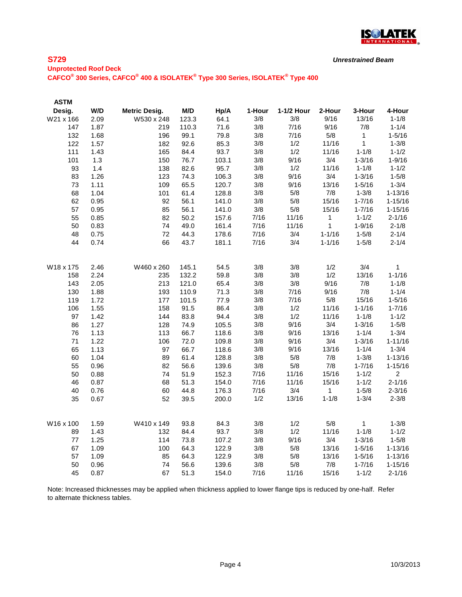

*Unrestrained Beam*

# **Unprotected Roof Deck CAFCO® 300 Series, CAFCO® 400 & ISOLATEK® Type 300 Series, ISOLATEK® Type 400**

| <b>ASTM</b> |      |                      |       |       |        |            |              |              |                 |
|-------------|------|----------------------|-------|-------|--------|------------|--------------|--------------|-----------------|
| Desig.      | W/D  | <b>Metric Desig.</b> | M/D   | Hp/A  | 1-Hour | 1-1/2 Hour | 2-Hour       | 3-Hour       | 4-Hour          |
| W21 x 166   | 2.09 | W530 x 248           | 123.3 | 64.1  | 3/8    | 3/8        | 9/16         | 13/16        | $1 - 1/8$       |
| 147         | 1.87 | 219                  | 110.3 | 71.6  | 3/8    | 7/16       | 9/16         | 7/8          | $1 - 1/4$       |
| 132         | 1.68 | 196                  | 99.1  | 79.8  | 3/8    | 7/16       | 5/8          | 1            | $1 - 5/16$      |
| 122         | 1.57 | 182                  | 92.6  | 85.3  | 3/8    | 1/2        | 11/16        | 1            | $1 - 3/8$       |
| 111         | 1.43 | 165                  | 84.4  | 93.7  | 3/8    | 1/2        | 11/16        | $1 - 1/8$    | $1 - 1/2$       |
| 101         | 1.3  | 150                  | 76.7  | 103.1 | 3/8    | 9/16       | 3/4          | $1 - 3/16$   | $1 - 9/16$      |
| 93          | 1.4  | 138                  | 82.6  | 95.7  | 3/8    | 1/2        | 11/16        | $1 - 1/8$    | $1 - 1/2$       |
| 83          | 1.26 | 123                  | 74.3  | 106.3 | 3/8    | 9/16       | 3/4          | $1 - 3/16$   | $1 - 5/8$       |
| 73          | 1.11 | 109                  | 65.5  | 120.7 | 3/8    | 9/16       | 13/16        | $1 - 5/16$   | $1 - 3/4$       |
| 68          | 1.04 | 101                  | 61.4  | 128.8 | 3/8    | 5/8        | 7/8          | $1 - 3/8$    | $1 - 13/16$     |
| 62          | 0.95 | 92                   | 56.1  | 141.0 | 3/8    | 5/8        | 15/16        | $1 - 7/16$   | $1 - 15/16$     |
| 57          | 0.95 | 85                   | 56.1  | 141.0 | 3/8    | 5/8        | 15/16        | $1 - 7/16$   | $1 - 15/16$     |
| 55          | 0.85 | 82                   | 50.2  | 157.6 | 7/16   | 11/16      | $\mathbf{1}$ | $1 - 1/2$    | $2 - 1/16$      |
| 50          | 0.83 | 74                   | 49.0  | 161.4 | 7/16   | 11/16      | 1            | $1 - 9/16$   | $2 - 1/8$       |
| 48          | 0.75 | 72                   | 44.3  | 178.6 | 7/16   | 3/4        | $1 - 1/16$   | $1 - 5/8$    | $2 - 1/4$       |
| 44          | 0.74 | 66                   | 43.7  | 181.1 | 7/16   | 3/4        | $1 - 1/16$   | $1 - 5/8$    | $2 - 1/4$       |
|             |      |                      |       |       |        |            |              |              |                 |
| W18 x 175   | 2.46 | W460 x 260           | 145.1 | 54.5  | 3/8    | 3/8        | 1/2<br>1/2   | 3/4          | 1<br>$1 - 1/16$ |
| 158         | 2.24 | 235                  | 132.2 | 59.8  | 3/8    | 3/8        |              | 13/16        |                 |
| 143         | 2.05 | 213                  | 121.0 | 65.4  | 3/8    | 3/8        | 9/16         | 7/8          | $1 - 1/8$       |
| 130         | 1.88 | 193                  | 110.9 | 71.3  | 3/8    | 7/16       | 9/16         | 7/8          | $1 - 1/4$       |
| 119         | 1.72 | 177                  | 101.5 | 77.9  | 3/8    | 7/16       | 5/8          | 15/16        | $1 - 5/16$      |
| 106         | 1.55 | 158                  | 91.5  | 86.4  | 3/8    | 1/2        | 11/16        | $1 - 1/16$   | $1 - 7/16$      |
| 97          | 1.42 | 144                  | 83.8  | 94.4  | 3/8    | 1/2        | 11/16        | $1 - 1/8$    | $1 - 1/2$       |
| 86          | 1.27 | 128                  | 74.9  | 105.5 | 3/8    | 9/16       | 3/4          | $1 - 3/16$   | $1 - 5/8$       |
| 76          | 1.13 | 113                  | 66.7  | 118.6 | 3/8    | 9/16       | 13/16        | $1 - 1/4$    | $1 - 3/4$       |
| 71          | 1.22 | 106                  | 72.0  | 109.8 | 3/8    | 9/16       | 3/4          | $1 - 3/16$   | $1 - 11/16$     |
| 65          | 1.13 | 97                   | 66.7  | 118.6 | 3/8    | 9/16       | 13/16        | $1 - 1/4$    | $1 - 3/4$       |
| 60          | 1.04 | 89                   | 61.4  | 128.8 | 3/8    | 5/8        | 7/8          | $1 - 3/8$    | $1 - 13/16$     |
| 55          | 0.96 | 82                   | 56.6  | 139.6 | 3/8    | 5/8        | 7/8          | $1 - 7/16$   | $1 - 15/16$     |
| 50          | 0.88 | 74                   | 51.9  | 152.3 | 7/16   | 11/16      | 15/16        | $1 - 1/2$    | $\overline{2}$  |
| 46          | 0.87 | 68                   | 51.3  | 154.0 | 7/16   | 11/16      | 15/16        | $1 - 1/2$    | $2 - 1/16$      |
| 40          | 0.76 | 60                   | 44.8  | 176.3 | 7/16   | 3/4        | 1            | $1 - 5/8$    | $2 - 3/16$      |
| 35          | 0.67 | 52                   | 39.5  | 200.0 | 1/2    | 13/16      | $1 - 1/8$    | $1 - 3/4$    | $2 - 3/8$       |
| W16 x 100   | 1.59 | W410 x 149           | 93.8  | 84.3  | 3/8    | 1/2        | 5/8          | $\mathbf{1}$ | $1 - 3/8$       |
| 89          | 1.43 | 132                  | 84.4  | 93.7  | 3/8    | 1/2        | 11/16        | $1 - 1/8$    | $1 - 1/2$       |
| 77          | 1.25 | 114                  | 73.8  | 107.2 | 3/8    | 9/16       | 3/4          | $1 - 3/16$   | $1 - 5/8$       |
| 67          | 1.09 | 100                  | 64.3  | 122.9 | 3/8    | 5/8        | 13/16        | $1 - 5/16$   | $1 - 13/16$     |
| 57          | 1.09 | 85                   | 64.3  | 122.9 | 3/8    | 5/8        | 13/16        | $1 - 5/16$   | $1 - 13/16$     |
| 50          | 0.96 | 74                   | 56.6  | 139.6 | 3/8    | 5/8        | 7/8          | $1 - 7/16$   | $1 - 15/16$     |
| 45          | 0.87 | 67                   | 51.3  | 154.0 | 7/16   | 11/16      | 15/16        | $1 - 1/2$    | $2 - 1/16$      |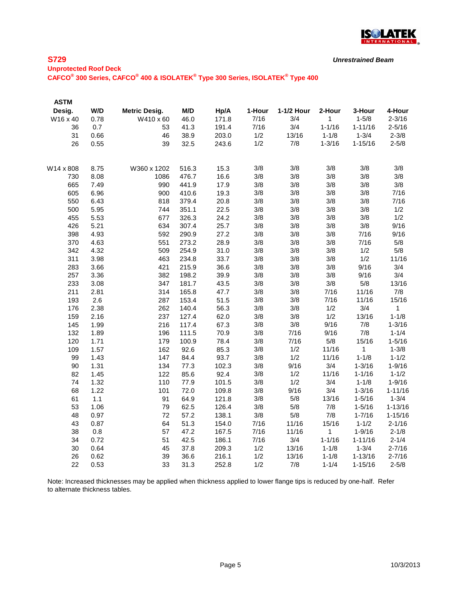

*Unrestrained Beam*

**Unprotected Roof Deck CAFCO® 300 Series, CAFCO® 400 & ISOLATEK® Type 300 Series, ISOLATEK® Type 400**

| <b>ASTM</b> |      |                      |       |       |        |            |              |             |              |
|-------------|------|----------------------|-------|-------|--------|------------|--------------|-------------|--------------|
| Desig.      | W/D  | <b>Metric Desig.</b> | M/D   | Hp/A  | 1-Hour | 1-1/2 Hour | 2-Hour       | 3-Hour      | 4-Hour       |
| W16 x 40    | 0.78 | W410 x 60            | 46.0  | 171.8 | 7/16   | 3/4        | 1            | $1 - 5/8$   | $2 - 3/16$   |
| 36          | 0.7  | 53                   | 41.3  | 191.4 | 7/16   | 3/4        | $1 - 1/16$   | $1 - 11/16$ | $2 - 5/16$   |
| 31          | 0.66 | 46                   | 38.9  | 203.0 | 1/2    | 13/16      | $1 - 1/8$    | $1 - 3/4$   | $2 - 3/8$    |
| 26          | 0.55 | 39                   | 32.5  | 243.6 | 1/2    | 7/8        | $1 - 3/16$   | $1 - 15/16$ | $2 - 5/8$    |
| W14 x 808   | 8.75 | W360 x 1202          | 516.3 | 15.3  | 3/8    | 3/8        | 3/8          | 3/8         | 3/8          |
| 730         | 8.08 | 1086                 | 476.7 | 16.6  | 3/8    | 3/8        | 3/8          | 3/8         | 3/8          |
| 665         | 7.49 | 990                  | 441.9 | 17.9  | 3/8    | 3/8        | 3/8          | 3/8         | 3/8          |
| 605         | 6.96 | 900                  | 410.6 | 19.3  | 3/8    | 3/8        | 3/8          | 3/8         | 7/16         |
| 550         | 6.43 | 818                  | 379.4 | 20.8  | 3/8    | 3/8        | 3/8          | 3/8         | 7/16         |
| 500         | 5.95 | 744                  | 351.1 | 22.5  | 3/8    | 3/8        | 3/8          | 3/8         | 1/2          |
| 455         | 5.53 | 677                  | 326.3 | 24.2  | 3/8    | 3/8        | 3/8          | 3/8         | 1/2          |
| 426         | 5.21 | 634                  | 307.4 | 25.7  | 3/8    | 3/8        | 3/8          | 3/8         | 9/16         |
| 398         | 4.93 | 592                  | 290.9 | 27.2  | 3/8    | 3/8        | 3/8          | 7/16        | 9/16         |
| 370         | 4.63 | 551                  | 273.2 | 28.9  | 3/8    | 3/8        | 3/8          | 7/16        | 5/8          |
| 342         | 4.32 | 509                  | 254.9 | 31.0  | 3/8    | 3/8        | 3/8          | 1/2         | 5/8          |
| 311         | 3.98 | 463                  | 234.8 | 33.7  | 3/8    | 3/8        | 3/8          | 1/2         | 11/16        |
| 283         | 3.66 | 421                  | 215.9 | 36.6  | 3/8    | 3/8        | 3/8          | 9/16        | 3/4          |
| 257         | 3.36 | 382                  | 198.2 | 39.9  | 3/8    | 3/8        | 3/8          | 9/16        | 3/4          |
| 233         | 3.08 | 347                  | 181.7 | 43.5  | 3/8    | 3/8        | 3/8          | 5/8         | 13/16        |
| 211         | 2.81 | 314                  | 165.8 | 47.7  | 3/8    | 3/8        | 7/16         | 11/16       | 7/8          |
| 193         | 2.6  | 287                  | 153.4 | 51.5  | 3/8    | 3/8        | 7/16         | 11/16       | 15/16        |
| 176         | 2.38 | 262                  | 140.4 | 56.3  | 3/8    | 3/8        | 1/2          | 3/4         | $\mathbf{1}$ |
| 159         | 2.16 | 237                  | 127.4 | 62.0  | 3/8    | 3/8        | 1/2          | 13/16       | $1 - 1/8$    |
| 145         | 1.99 | 216                  | 117.4 | 67.3  | 3/8    | 3/8        | 9/16         | 7/8         | $1 - 3/16$   |
| 132         | 1.89 | 196                  | 111.5 | 70.9  | 3/8    | 7/16       | 9/16         | 7/8         | $1 - 1/4$    |
| 120         | 1.71 | 179                  | 100.9 | 78.4  | 3/8    | 7/16       | 5/8          | 15/16       | $1 - 5/16$   |
| 109         | 1.57 | 162                  | 92.6  | 85.3  | 3/8    | 1/2        | 11/16        | 1           | $1 - 3/8$    |
| 99          | 1.43 | 147                  | 84.4  | 93.7  | 3/8    | 1/2        | 11/16        | $1 - 1/8$   | $1 - 1/2$    |
| 90          | 1.31 | 134                  | 77.3  | 102.3 | 3/8    | 9/16       | 3/4          | $1 - 3/16$  | $1 - 9/16$   |
| 82          | 1.45 | 122                  | 85.6  | 92.4  | 3/8    | 1/2        | 11/16        | $1 - 1/16$  | $1 - 1/2$    |
| 74          | 1.32 | 110                  | 77.9  | 101.5 | 3/8    | 1/2        | 3/4          | $1 - 1/8$   | $1 - 9/16$   |
| 68          | 1.22 | 101                  | 72.0  | 109.8 | 3/8    | 9/16       | 3/4          | $1 - 3/16$  | $1 - 11/16$  |
| 61          | 1.1  | 91                   | 64.9  | 121.8 | 3/8    | 5/8        | 13/16        | $1 - 5/16$  | $1 - 3/4$    |
| 53          | 1.06 | 79                   | 62.5  | 126.4 | 3/8    | 5/8        | 7/8          | $1 - 5/16$  | $1 - 13/16$  |
| 48          | 0.97 | 72                   | 57.2  | 138.1 | 3/8    | 5/8        | 7/8          | $1 - 7/16$  | $1 - 15/16$  |
| 43          | 0.87 | 64                   | 51.3  | 154.0 | 7/16   | 11/16      | 15/16        | $1 - 1/2$   | $2 - 1/16$   |
| 38          | 0.8  | 57                   | 47.2  | 167.5 | 7/16   | 11/16      | $\mathbf{1}$ | $1 - 9/16$  | $2 - 1/8$    |
| 34          | 0.72 | 51                   | 42.5  | 186.1 | 7/16   | 3/4        | $1 - 1/16$   | $1 - 11/16$ | $2 - 1/4$    |
| 30          | 0.64 | 45                   | 37.8  | 209.3 | 1/2    | 13/16      | $1 - 1/8$    | $1 - 3/4$   | $2 - 7/16$   |
| 26          | 0.62 | 39                   | 36.6  | 216.1 | 1/2    | 13/16      | $1 - 1/8$    | $1 - 13/16$ | $2 - 7/16$   |
| 22          | 0.53 | 33                   | 31.3  | 252.8 | 1/2    | 7/8        | $1 - 1/4$    | $1 - 15/16$ | $2 - 5/8$    |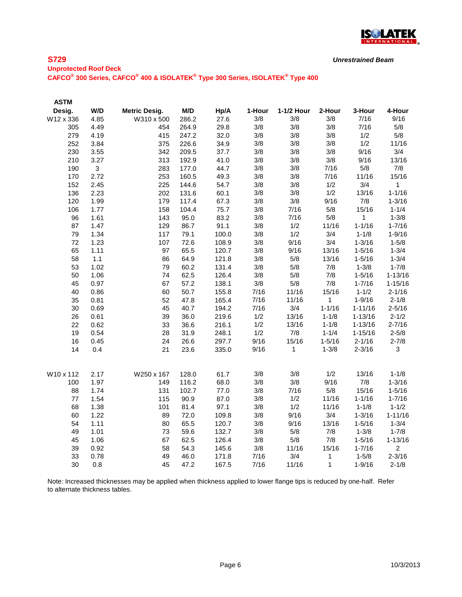

*Unrestrained Beam*

# **Unprotected Roof Deck CAFCO® 300 Series, CAFCO® 400 & ISOLATEK® Type 300 Series, ISOLATEK® Type 400**

| <b>ASTM</b> |              |                      |       |       |        |            |              |             |                |
|-------------|--------------|----------------------|-------|-------|--------|------------|--------------|-------------|----------------|
| Desig.      | W/D          | <b>Metric Desig.</b> | M/D   | Hp/A  | 1-Hour | 1-1/2 Hour | 2-Hour       | 3-Hour      | 4-Hour         |
| W12 x 336   | 4.85         | W310 x 500           | 286.2 | 27.6  | 3/8    | 3/8        | 3/8          | 7/16        | 9/16           |
| 305         | 4.49         | 454                  | 264.9 | 29.8  | 3/8    | 3/8        | 3/8          | 7/16        | 5/8            |
| 279         | 4.19         | 415                  | 247.2 | 32.0  | 3/8    | 3/8        | 3/8          | 1/2         | 5/8            |
| 252         | 3.84         | 375                  | 226.6 | 34.9  | 3/8    | 3/8        | 3/8          | 1/2         | 11/16          |
| 230         | 3.55         | 342                  | 209.5 | 37.7  | 3/8    | 3/8        | 3/8          | 9/16        | 3/4            |
| 210         | 3.27         | 313                  | 192.9 | 41.0  | 3/8    | 3/8        | 3/8          | 9/16        | 13/16          |
| 190         | $\mathbf{3}$ | 283                  | 177.0 | 44.7  | 3/8    | 3/8        | 7/16         | 5/8         | 7/8            |
| 170         | 2.72         | 253                  | 160.5 | 49.3  | 3/8    | 3/8        | 7/16         | 11/16       | 15/16          |
| 152         | 2.45         | 225                  | 144.6 | 54.7  | 3/8    | 3/8        | 1/2          | 3/4         | $\mathbf{1}$   |
| 136         | 2.23         | 202                  | 131.6 | 60.1  | 3/8    | 3/8        | 1/2          | 13/16       | $1 - 1/16$     |
| 120         | 1.99         | 179                  | 117.4 | 67.3  | 3/8    | 3/8        | 9/16         | 7/8         | $1 - 3/16$     |
| 106         | 1.77         | 158                  | 104.4 | 75.7  | 3/8    | 7/16       | 5/8          | 15/16       | $1 - 1/4$      |
| 96          | 1.61         | 143                  | 95.0  | 83.2  | 3/8    | 7/16       | 5/8          | 1           | $1 - 3/8$      |
| 87          | 1.47         | 129                  | 86.7  | 91.1  | 3/8    | 1/2        | 11/16        | $1 - 1/16$  | $1 - 7/16$     |
| 79          | 1.34         | 117                  | 79.1  | 100.0 | 3/8    | 1/2        | 3/4          | $1 - 1/8$   | $1 - 9/16$     |
| 72          | 1.23         | 107                  | 72.6  | 108.9 | 3/8    | 9/16       | 3/4          | $1 - 3/16$  | $1 - 5/8$      |
| 65          | 1.11         | 97                   | 65.5  | 120.7 | 3/8    | 9/16       | 13/16        | $1 - 5/16$  | $1 - 3/4$      |
| 58          | $1.1$        | 86                   | 64.9  | 121.8 | 3/8    | 5/8        | 13/16        | $1 - 5/16$  | $1 - 3/4$      |
| 53          | 1.02         | 79                   | 60.2  | 131.4 | 3/8    | 5/8        | 7/8          | $1 - 3/8$   | $1 - 7/8$      |
| 50          | 1.06         | 74                   | 62.5  | 126.4 | 3/8    | 5/8        | 7/8          | $1 - 5/16$  | $1 - 13/16$    |
| 45          | 0.97         | 67                   | 57.2  | 138.1 | 3/8    | $5/8$      | 7/8          | $1 - 7/16$  | $1 - 15/16$    |
| 40          | 0.86         | 60                   | 50.7  | 155.8 | 7/16   | 11/16      | 15/16        | $1 - 1/2$   | $2 - 1/16$     |
| 35          | 0.81         | 52                   | 47.8  | 165.4 | 7/16   | 11/16      | $\mathbf{1}$ | $1 - 9/16$  | $2 - 1/8$      |
| 30          | 0.69         | 45                   | 40.7  | 194.2 | 7/16   | 3/4        | $1 - 1/16$   | $1 - 11/16$ | $2 - 5/16$     |
| 26          | 0.61         | 39                   | 36.0  | 219.6 | 1/2    | 13/16      | $1 - 1/8$    | $1 - 13/16$ | $2 - 1/2$      |
| 22          | 0.62         | 33                   | 36.6  | 216.1 | 1/2    | 13/16      | $1 - 1/8$    | $1 - 13/16$ | $2 - 7/16$     |
| 19          | 0.54         | 28                   | 31.9  | 248.1 | 1/2    | 7/8        | $1 - 1/4$    | $1 - 15/16$ | $2 - 5/8$      |
| 16          | 0.45         | 24                   | 26.6  | 297.7 | 9/16   | 15/16      | $1 - 5/16$   | $2 - 1/16$  | $2 - 7/8$      |
| 14          | 0.4          | 21                   | 23.6  | 335.0 | 9/16   | 1          | $1 - 3/8$    | $2 - 3/16$  | $\mathfrak{S}$ |
| W10 x 112   | 2.17         | W250 x 167           | 128.0 | 61.7  | 3/8    | 3/8        | 1/2          | 13/16       | $1 - 1/8$      |
| 100         | 1.97         | 149                  | 116.2 | 68.0  | 3/8    | 3/8        | 9/16         | 7/8         | $1 - 3/16$     |
| 88          | 1.74         | 131                  | 102.7 | 77.0  | 3/8    | 7/16       | 5/8          | 15/16       | $1 - 5/16$     |
| 77          | 1.54         | 115                  | 90.9  | 87.0  | 3/8    | 1/2        | 11/16        | $1 - 1/16$  | $1 - 7/16$     |
| 68          | 1.38         | 101                  | 81.4  | 97.1  | 3/8    | 1/2        | 11/16        | $1 - 1/8$   | $1 - 1/2$      |
| 60          | 1.22         | 89                   | 72.0  | 109.8 | 3/8    | 9/16       | 3/4          | $1 - 3/16$  | $1 - 11/16$    |
| 54          | 1.11         | 80                   | 65.5  | 120.7 | 3/8    | 9/16       | 13/16        | $1 - 5/16$  | $1 - 3/4$      |
| 49          | 1.01         | 73                   | 59.6  | 132.7 | 3/8    | 5/8        | 7/8          | $1 - 3/8$   | $1 - 7/8$      |
| 45          | 1.06         | 67                   | 62.5  | 126.4 | 3/8    | 5/8        | 7/8          | $1 - 5/16$  | $1 - 13/16$    |
| 39          | 0.92         | 58                   | 54.3  | 145.6 | 3/8    | 11/16      | 15/16        | $1 - 7/16$  | $\overline{2}$ |
| 33          | 0.78         | 49                   | 46.0  | 171.8 | 7/16   | 3/4        | 1            | $1 - 5/8$   | $2 - 3/16$     |
| 30          | 0.8          | 45                   | 47.2  | 167.5 | 7/16   | 11/16      | 1            | $1 - 9/16$  | $2 - 1/8$      |